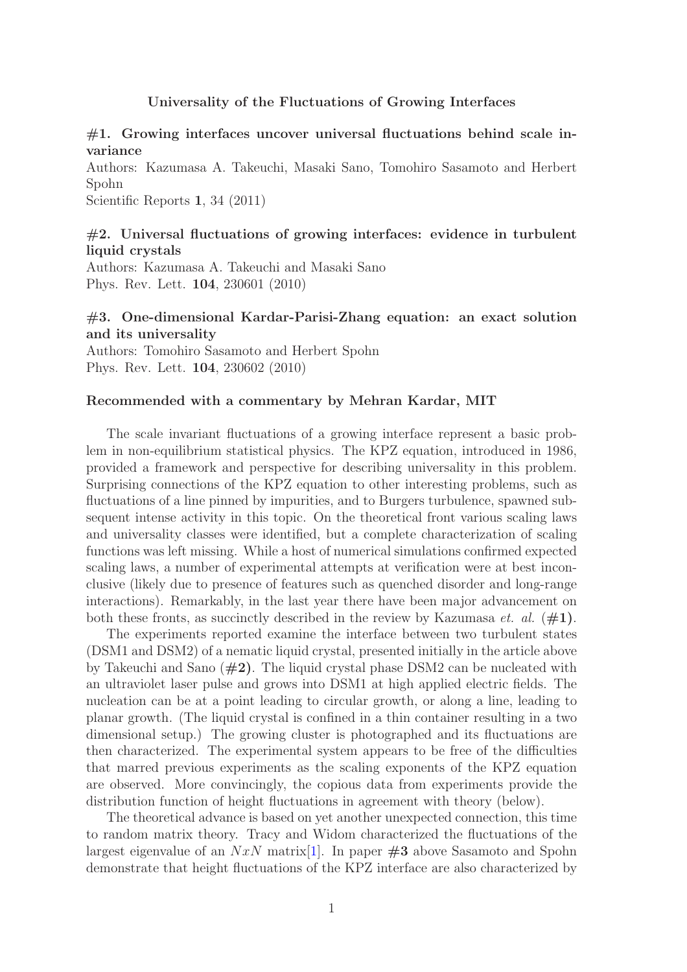#### Universality of the Fluctuations of Growing Interfaces

## $#1.$  Growing interfaces uncover universal fluctuations behind scale invariance

Authors: Kazumasa A. Takeuchi, Masaki Sano, Tomohiro Sasamoto and Herbert Spohn

Scientific Reports 1, 34 (2011)

## $#2.$  Universal fluctuations of growing interfaces: evidence in turbulent liquid crystals

Authors: Kazumasa A. Takeuchi and Masaki Sano Phys. Rev. Lett. 104, 230601 (2010)

## #3. One-dimensional Kardar-Parisi-Zhang equation: an exact solution and its universality

Authors: Tomohiro Sasamoto and Herbert Spohn Phys. Rev. Lett. 104, 230602 (2010)

#### Recommended with a commentary by Mehran Kardar, MIT

The scale invariant fluctuations of a growing interface represent a basic problem in non-equilibrium statistical physics. The KPZ equation, introduced in 1986, provided a framework and perspective for describing universality in this problem. Surprising connections of the KPZ equation to other interesting problems, such as fluctuations of a line pinned by impurities, and to Burgers turbulence, spawned subsequent intense activity in this topic. On the theoretical front various scaling laws and universality classes were identified, but a complete characterization of scaling functions was left missing. While a host of numerical simulations confirmed expected scaling laws, a number of experimental attempts at verification were at best inconclusive (likely due to presence of features such as quenched disorder and long-range interactions). Remarkably, in the last year there have been major advancement on both these fronts, as succinctly described in the review by Kazumasa *et. al.*  $(\#1)$ .

The experiments reported examine the interface between two turbulent states (DSM1 and DSM2) of a nematic liquid crystal, presented initially in the article above by Takeuchi and Sano  $(\#2)$ . The liquid crystal phase DSM2 can be nucleated with an ultraviolet laser pulse and grows into DSM1 at high applied electric fields. The nucleation can be at a point leading to circular growth, or along a line, leading to planar growth. (The liquid crystal is confined in a thin container resulting in a two dimensional setup.) The growing cluster is photographed and its fluctuations are then characterized. The experimental system appears to be free of the difficulties that marred previous experiments as the scaling exponents of the KPZ equation are observed. More convincingly, the copious data from experiments provide the distribution function of height fluctuations in agreement with theory (below).

The theoretical advance is based on yet another unexpected connection, this time to random matrix theory. Tracy and Widom characterized the fluctuations of the largest eigenvalue of an  $NxN$  matrix [\[1\]](#page-1-0). In paper  $#3$  above Sasamoto and Spohn demonstrate that height fluctuations of the KPZ interface are also characterized by